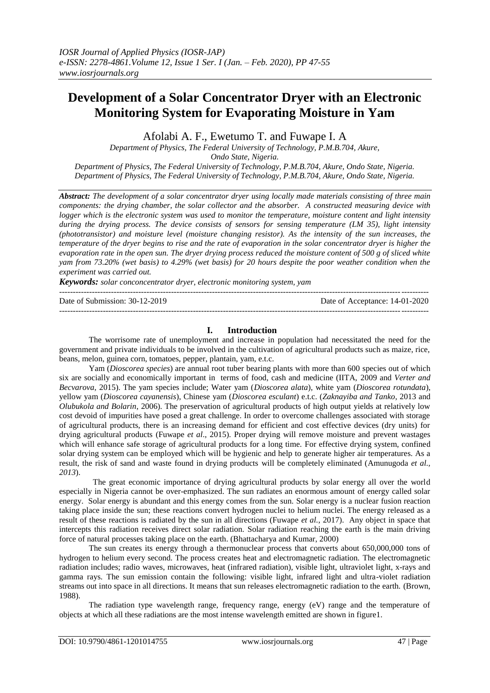# **Development of a Solar Concentrator Dryer with an Electronic Monitoring System for Evaporating Moisture in Yam**

Afolabi A. F., Ewetumo T. and Fuwape I. A

*Department of Physics, The Federal University of Technology, P.M.B.704, Akure,* 

*Ondo State, Nigeria.*

*Department of Physics, The Federal University of Technology, P.M.B.704, Akure, Ondo State, Nigeria. Department of Physics, The Federal University of Technology, P.M.B.704, Akure, Ondo State, Nigeria.*

*Abstract: The development of a solar concentrator dryer using locally made materials consisting of three main components: the drying chamber, the solar collector and the absorber. A constructed measuring device with logger which is the electronic system was used to monitor the temperature, moisture content and light intensity during the drying process. The device consists of sensors for sensing temperature (LM 35), light intensity (phototransistor) and moisture level (moisture changing resistor). As the intensity of the sun increases, the temperature of the dryer begins to rise and the rate of evaporation in the solar concentrator dryer is higher the evaporation rate in the open sun. The dryer drying process reduced the moisture content of 500 g of sliced white yam from 73.20% (wet basis) to 4.29% (wet basis) for 20 hours despite the poor weather condition when the experiment was carried out.* 

*Keywords: solar conconcentrator dryer, electronic monitoring system, yam*

--------------------------------------------------------------------------------------------------------------------------------------- Date of Submission: 30-12-2019 Date of Acceptance: 14-01-2020

---------------------------------------------------------------------------------------------------------------------------------------

## **I. Introduction**

The worrisome rate of unemployment and increase in population had necessitated the need for the government and private individuals to be involved in the cultivation of agricultural products such as maize, rice, beans, melon, guinea corn, tomatoes, pepper, plantain, yam, e.t.c.

Yam (*Dioscorea species*) are annual root tuber bearing plants with more than 600 species out of which six are socially and economically important in terms of food, cash and medicine (IITA, 2009 and *Verter and Becvarova*, 2015). The yam species include; Water yam (*Dioscorea alata*), white yam (*Dioscorea rotundata*), yellow yam (*Dioscorea cayanensis*), Chinese yam (*Dioscorea esculant*) e.t.c. (*Zaknayiba and Tanko*, 2013 and *Olubukola and Bolarin*, 2006). The preservation of agricultural products of high output yields at relatively low cost devoid of impurities have posed a great challenge. In order to overcome challenges associated with storage of agricultural products, there is an increasing demand for efficient and cost effective devices (dry units) for drying agricultural products (Fuwape *et al*., 2015). Proper drying will remove moisture and prevent wastages which will enhance safe storage of agricultural products for a long time. For effective drying system, confined solar drying system can be employed which will be hygienic and help to generate higher air temperatures. As a result, the risk of sand and waste found in drying products will be completely eliminated (Amunugoda *et al., 2013*).

The great economic importance of drying agricultural products by solar energy all over the world especially in Nigeria cannot be over-emphasized. The sun radiates an enormous amount of energy called solar energy. Solar energy is abundant and this energy comes from the sun. Solar energy is a nuclear fusion reaction taking place inside the sun; these reactions convert hydrogen nuclei to helium nuclei. The energy released as a result of these reactions is radiated by the sun in all directions (Fuwape *et al.*, 2017). Any object in space that intercepts this radiation receives direct solar radiation. Solar radiation reaching the earth is the main driving force of natural processes taking place on the earth. (Bhattacharya and Kumar, 2000)

The sun creates its energy through a thermonuclear process that converts about 650,000,000 tons of hydrogen to helium every second. The process creates heat and electromagnetic radiation. The electromagnetic radiation includes; radio waves, microwaves, heat (infrared radiation), visible light, ultraviolet light, x-rays and gamma rays. The sun emission contain the following: visible light, infrared light and ultra-violet radiation streams out into space in all directions. It means that sun releases electromagnetic radiation to the earth. (Brown, 1988).

The radiation type wavelength range, frequency range, energy (eV) range and the temperature of objects at which all these radiations are the most intense wavelength emitted are shown in figure1.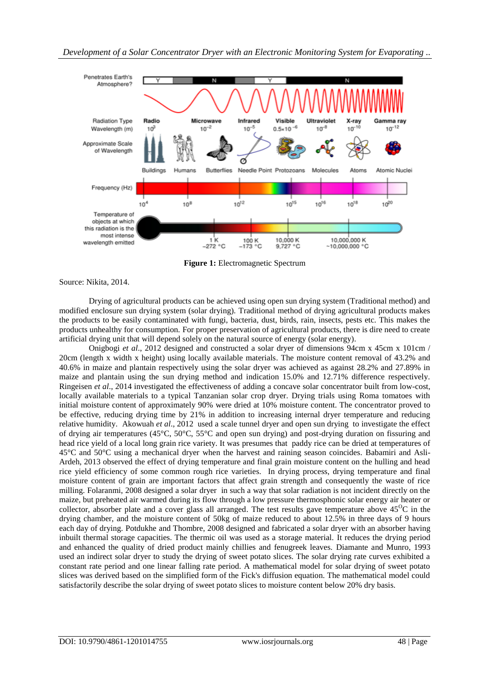

**Figure 1:** Electromagnetic Spectrum

Source: Nikita, 2014.

Drying of agricultural products can be achieved using open sun drying system (Traditional method) and modified enclosure sun drying system (solar drying). Traditional method of drying agricultural products makes the products to be easily contaminated with fungi, bacteria, dust, birds, rain, insects, pests etc. This makes the products unhealthy for consumption. For proper preservation of agricultural products, there is dire need to create artificial drying unit that will depend solely on the natural source of energy (solar energy).

Onigbogi *et al*., 2012 designed and constructed a solar dryer of dimensions 94cm x 45cm x 101cm / 20cm (length x width x height) using locally available materials. The moisture content removal of 43.2% and 40.6% in maize and plantain respectively using the solar dryer was achieved as against 28.2% and 27.89% in maize and plantain using the sun drying method and indication 15.0% and 12.71% difference respectively. Ringeisen *et al*., 2014 investigated the effectiveness of adding a concave solar concentrator built from low-cost, locally available materials to a typical Tanzanian solar crop dryer. Drying trials using Roma tomatoes with initial moisture content of approximately 90% were dried at 10% moisture content. The concentrator proved to be effective, reducing drying time by 21% in addition to increasing internal dryer temperature and reducing relative humidity. Akowuah *et al*., 2012 used a scale tunnel dryer and open sun drying to investigate the effect of drying air temperatures (45°C, 50°C, 55°C and open sun drying) and post-drying duration on fissuring and head rice yield of a local long grain rice variety. It was presumes that paddy rice can be dried at temperatures of 45°C and 50°C using a mechanical dryer when the harvest and raining season coincides. Babamiri and Asli-Ardeh, 2013 observed the effect of drying temperature and final grain moisture content on the hulling and head rice yield efficiency of some common rough rice varieties. In drying process, drying temperature and final moisture content of grain are important factors that affect grain strength and consequently the waste of rice milling. Folaranmi, 2008 designed a solar dryer in such a way that solar radiation is not incident directly on the maize, but preheated air warmed during its flow through a low pressure thermosphonic solar energy air heater or collector, absorber plate and a cover glass all arranged. The test results gave temperature above  $45^{\circ}\text{C}$  in the drying chamber, and the moisture content of 50kg of maize reduced to about 12.5% in three days of 9 hours each day of drying. Potdukhe and Thombre, 2008 designed and fabricated a solar dryer with an absorber having inbuilt thermal storage capacities. The thermic oil was used as a storage material. It reduces the drying period and enhanced the quality of dried product mainly chillies and fenugreek leaves. Diamante and Munro, 1993 used an indirect solar dryer to study the drying of sweet potato slices. The solar drying rate curves exhibited a constant rate period and one linear falling rate period. A mathematical model for solar drying of sweet potato slices was derived based on the simplified form of the Fick's diffusion equation. The mathematical model could satisfactorily describe the solar drying of sweet potato slices to moisture content below 20% dry basis.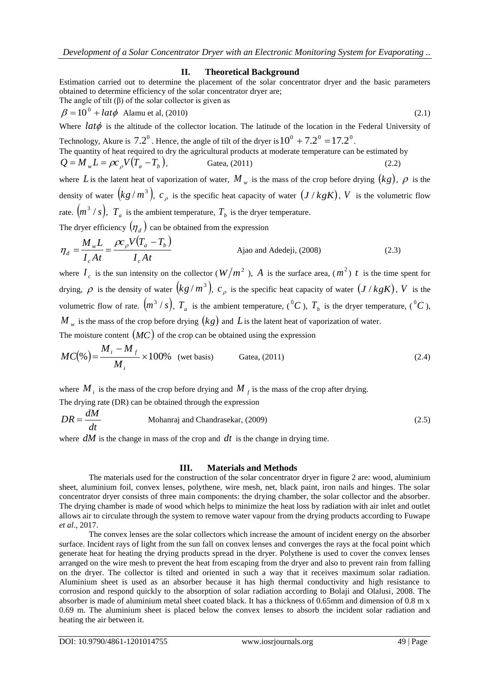### **II. Theoretical Background**

Estimation carried out to determine the placement of the solar concentrator dryer and the basic parameters obtained to determine efficiency of the solar concentrator dryer are;

The angle of tilt (
$$
\beta
$$
) of the solar collector is given as  
\n
$$
\beta = 10^0 + \text{l} \alpha t \phi \quad \text{Alamu et al. (2010)} \tag{2.1}
$$

Where  $lat\phi$  is the altitude of the collector location. The latitude of the location in the Federal University of

Technology, Akure is  $7.2^{\circ}$  . Hence, the angle of tilt of the dryer is  $10^{\circ} + 7.2^{\circ} = 17.2^{\circ}$ . The quantity of heat required to dry the agricultural products at moderate temperature can be estimated by  $Q = M_{\nu} L = \rho c_{\rho} V (T_a - T_b)$ , Gatea, (2011) (2.2)

where L is the latent heat of vaporization of water,  $M_w$  is the mass of the crop before drying  $(kg)$ ,  $\rho$  is the density of water  $(kg/m^3)$ ,  $c_\rho$  is the specific heat capacity of water  $(J / kgK)$ , V is the volumetric flow rate.  $\left(m^3/s\right)$ ,  $T_a$  is the ambient temperature,  $T_b$  is the dryer temperature.

The dryer efficiency  $(\eta_d)$  can be obtained from the expression

$$
\eta_d = \frac{M_w L}{I_c At} = \frac{\rho c_p V (T_a - T_b)}{I_c At}
$$
 Ajao and Adedeji, (2008) (2.3)

where  $I_c$  is the sun intensity on the collector ( $W/m^2$ ), A is the surface area, ( $m^2$ ) t is the time spent for drying,  $\rho$  is the density of water  $(kg/m^3)$ ,  $c_\rho$  is the specific heat capacity of water  $(J / kgK)$ , V is the volumetric flow of rate.  $(m^3 / s)$ ,  $T_a$  is the ambient temperature,  $(^0C)$ ,  $T_b$  is the dryer temperature,  $(^0C)$ ,  $M$   $_{w}$  is the mass of the crop before drying  $\left(kg\right)$  and  $L$  is the latent heat of vaporization of water. The moisture content  $(MC)$  of the crop can be obtained using the expression

$$
MC(\%) = \frac{M_i - M_f}{M_i} \times 100\% \quad \text{(wet basis)} \qquad \text{Gatea, (2011)} \tag{2.4}
$$

where  $M_i$  is the mass of the crop before drying and  $M_f$  is the mass of the crop after drying.

The drying rate (DR) can be obtained through the expression

$$
DR = \frac{dM}{dt}
$$
 Mohanraj and Chandrasekar, (2009) (2.5)

where  $dM$  is the change in mass of the crop and  $dt$  is the change in drying time.

## **III. Materials and Methods**

The materials used for the construction of the solar concentrator dryer in figure 2 are: wood, aluminium sheet, aluminium foil, convex lenses, polythene, wire mesh, net, black paint, iron nails and hinges. The solar concentrator dryer consists of three main components: the drying chamber, the solar collector and the absorber. The drying chamber is made of wood which helps to minimize the heat loss by radiation with air inlet and outlet allows air to circulate through the system to remove water vapour from the drying products according to Fuwape *et al*., 2017.

The convex lenses are the solar collectors which increase the amount of incident energy on the absorber surface. Incident rays of light from the sun fall on convex lenses and converges the rays at the focal point which generate heat for heating the drying products spread in the dryer. Polythene is used to cover the convex lenses arranged on the wire mesh to prevent the heat from escaping from the dryer and also to prevent rain from falling on the dryer. The collector is tilted and oriented in such a way that it receives maximum solar radiation. Aluminium sheet is used as an absorber because it has high thermal conductivity and high resistance to corrosion and respond quickly to the absorption of solar radiation according to Bolaji and Olalusi, 2008. The absorber is made of aluminium metal sheet coated black. It has a thickness of 0.65mm and dimension of 0.8 m x 0.69 m. The aluminium sheet is placed below the convex lenses to absorb the incident solar radiation and heating the air between it.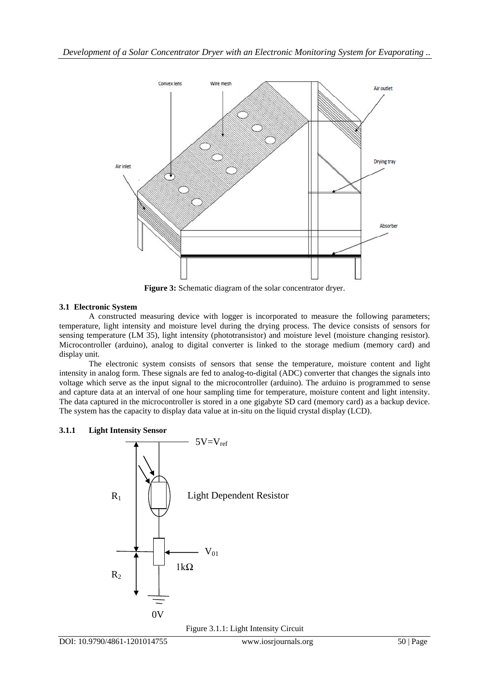

**Figure 3:** Schematic diagram of the solar concentrator dryer.

## **3.1 Electronic System**

A constructed measuring device with logger is incorporated to measure the following parameters; temperature, light intensity and moisture level during the drying process. The device consists of sensors for sensing temperature (LM 35), light intensity (phototransistor) and moisture level (moisture changing resistor). Microcontroller (arduino), analog to digital converter is linked to the storage medium (memory card) and display unit.

The electronic system consists of sensors that sense the temperature, moisture content and light intensity in analog form. These signals are fed to analog-to-digital (ADC) converter that changes the signals into voltage which serve as the input signal to the microcontroller (arduino). The arduino is programmed to sense and capture data at an interval of one hour sampling time for temperature, moisture content and light intensity. The data captured in the microcontroller is stored in a one gigabyte SD card (memory card) as a backup device. The system has the capacity to display data value at in-situ on the liquid crystal display (LCD).

## **3.1.1 Light Intensity Sensor**



Figure 3.1.1: Light Intensity Circuit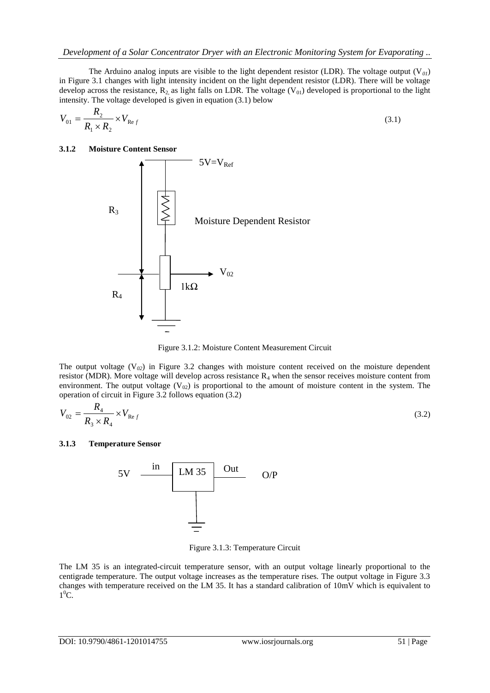The Arduino analog inputs are visible to the light dependent resistor (LDR). The voltage output  $(V_{01})$ in Figure 3.1 changes with light intensity incident on the light dependent resistor (LDR). There will be voltage develop across the resistance,  $R_2$  as light falls on LDR. The voltage (V<sub>01</sub>) developed is proportional to the light intensity. The voltage developed is given in equation (3.1) below

$$
V_{01} = \frac{R_2}{R_1 \times R_2} \times V_{\text{Re }f}
$$
\n
$$
(3.1)
$$

#### **3.1.2 Moisture Content Sensor**



Figure 3.1.2: Moisture Content Measurement Circuit

The output voltage  $(V_{02})$  in Figure 3.2 changes with moisture content received on the moisture dependent resistor (MDR). More voltage will develop across resistance  $R_4$  when the sensor receives moisture content from environment. The output voltage  $(V_{02})$  is proportional to the amount of moisture content in the system. The operation of circuit in Figure 3.2 follows equation (3.2)

$$
V_{02} = \frac{R_4}{R_3 \times R_4} \times V_{\text{Re }f}
$$
 (3.2)

#### **3.1.3 Temperature Sensor**



Figure 3.1.3: Temperature Circuit

The LM 35 is an integrated-circuit temperature sensor, with an output voltage linearly proportional to the centigrade temperature. The output voltage increases as the temperature rises. The output voltage in Figure 3.3 changes with temperature received on the LM 35. It has a standard calibration of 10mV which is equivalent to  $1^0C$ .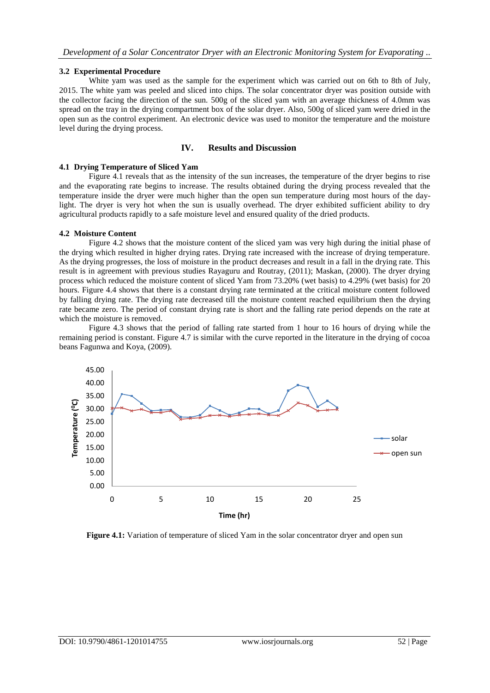#### **3.2 Experimental Procedure**

White yam was used as the sample for the experiment which was carried out on 6th to 8th of July, 2015. The white yam was peeled and sliced into chips. The solar concentrator dryer was position outside with the collector facing the direction of the sun. 500g of the sliced yam with an average thickness of 4.0mm was spread on the tray in the drying compartment box of the solar dryer. Also, 500g of sliced yam were dried in the open sun as the control experiment. An electronic device was used to monitor the temperature and the moisture level during the drying process.

## **IV. Results and Discussion**

#### **4.1 Drying Temperature of Sliced Yam**

Figure 4.1 reveals that as the intensity of the sun increases, the temperature of the dryer begins to rise and the evaporating rate begins to increase. The results obtained during the drying process revealed that the temperature inside the dryer were much higher than the open sun temperature during most hours of the daylight. The dryer is very hot when the sun is usually overhead. The dryer exhibited sufficient ability to dry agricultural products rapidly to a safe moisture level and ensured quality of the dried products.

#### **4.2 Moisture Content**

Figure 4.2 shows that the moisture content of the sliced yam was very high during the initial phase of the drying which resulted in higher drying rates. Drying rate increased with the increase of drying temperature. As the drying progresses, the loss of moisture in the product decreases and result in a fall in the drying rate. This result is in agreement with previous studies Rayaguru and Routray, (2011); Maskan, (2000). The dryer drying process which reduced the moisture content of sliced Yam from 73.20% (wet basis) to 4.29% (wet basis) for 20 hours. Figure 4.4 shows that there is a constant drying rate terminated at the critical moisture content followed by falling drying rate. The drying rate decreased till the moisture content reached equilibrium then the drying rate became zero. The period of constant drying rate is short and the falling rate period depends on the rate at which the moisture is removed.

Figure 4.3 shows that the period of falling rate started from 1 hour to 16 hours of drying while the remaining period is constant. Figure 4.7 is similar with the curve reported in the literature in the drying of cocoa beans Fagunwa and Koya, (2009).



**Figure 4.1:** Variation of temperature of sliced Yam in the solar concentrator dryer and open sun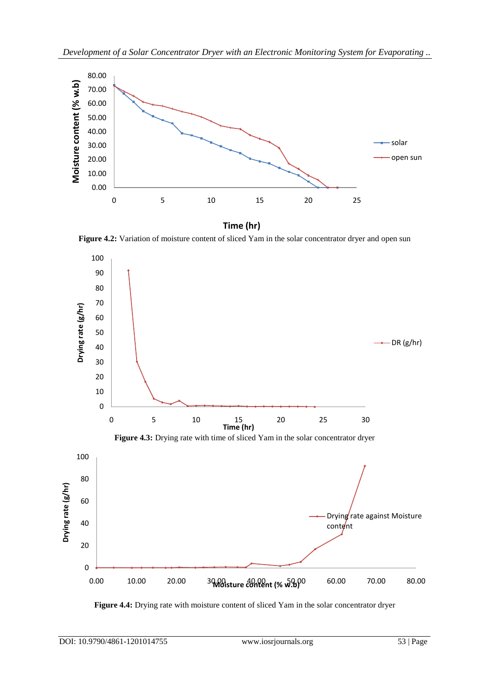

**Time (hr)**

Figure 4.2: Variation of moisture content of sliced Yam in the solar concentrator dryer and open sun



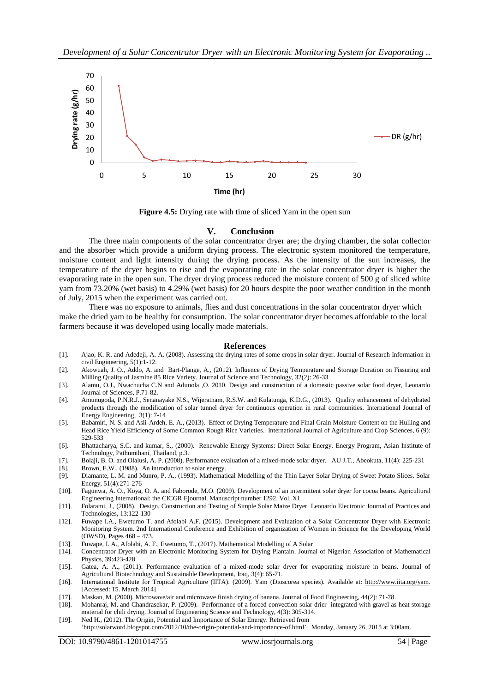

**Figure 4.5:** Drying rate with time of sliced Yam in the open sun

#### **V. Conclusion**

The three main components of the solar concentrator dryer are; the drying chamber, the solar collector and the absorber which provide a uniform drying process. The electronic system monitored the temperature, moisture content and light intensity during the drying process. As the intensity of the sun increases, the temperature of the dryer begins to rise and the evaporating rate in the solar concentrator dryer is higher the evaporating rate in the open sun. The dryer drying process reduced the moisture content of 500 g of sliced white yam from 73.20% (wet basis) to 4.29% (wet basis) for 20 hours despite the poor weather condition in the month of July, 2015 when the experiment was carried out.

There was no exposure to animals, flies and dust concentrations in the solar concentrator dryer which make the dried yam to be healthy for consumption. The solar concentrator dryer becomes affordable to the local farmers because it was developed using locally made materials.

#### **References**

- [1]. Ajao, K. R. and Adedeji, A. A. (2008). Assessing the drying rates of some crops in solar dryer. Journal of Research Information in civil Engineering, 5(1):1-12.
- [2]. Akowuah, J. O., Addo, A. and Bart-Plange, A., (2012). Influence of Drying Temperature and Storage Duration on Fissuring and Milling Quality of Jasmine 85 Rice Variety. Journal of Science and Technology, 32(2): 26-33
- [3]. Alamu, O.J., Nwachucha C.N and Adunola ,O. 2010. Design and construction of a domestic passive solar food dryer, Leonardo Journal of Sciences, P.71-82.
- [4]. Amunugoda, P.N.R.J., Senanayake N.S., Wijeratnam, R.S.W. and Kulatunga, K.D.G., (2013). Quality enhancement of dehydrated products through the modification of solar tunnel dryer for continuous operation in rural communities. International Journal of Energy Engineering, 3(1): 7-14
- [5]. Babamiri, N. S. and Asli-Ardeh, E. A., (2013). Effect of Drying Temperature and Final Grain Moisture Content on the Hulling and Head Rice Yield Efficiency of Some Common Rough Rice Varieties. International Journal of Agriculture and Crop Sciences, 6 (9): 529-533
- [6]. Bhattacharya, S.C. and kumar, S., (2000). Renewable Energy Systems: Direct Solar Energy. Energy Program, Asian Institute of Technology, Pathumthani, Thailand, p.3.
- [7]. Bolaji, B. O. and Olalusi, A. P. (2008). Performance evaluation of a mixed-mode solar dryer. AU J.T., Abeokuta, 11(4): 225-231
- [8]. Brown, E.W., (1988). An introduction to solar energy.
- [9]. Diamante, L. M. and Munro, P. A., (1993). Mathematical Modelling of the Thin Layer Solar Drying of Sweet Potato Slices. Solar Energy, 51(4):271-276
- [10]. Fagunwa, A. O., Koya, O. A. and Faborode, M.O. (2009). Development of an intermittent solar dryer for cocoa beans. Agricultural Engineering International: the CICGR Ejournal. Manuscript number 1292. Vol. XI.
- [11]. Folarami, J., (2008). Design, Construction and Testing of Simple Solar Maize Dryer. Leonardo Electronic Journal of Practices and Technologies, 13:122-130
- [12]. Fuwape I.A., Ewetumo T. and Afolabi A.F. (2015). Development and Evaluation of a Solar Concentrator Dryer with Electronic Monitoring System. 2nd International Conference and Exhibition of organization of Women in Science for the Developing World (OWSD), Pages 468 – 473.
- [13]. Fuwape, I. A., Afolabi, A. F., Ewetumo, T., (2017). Mathematical Modelling of A Solar
- [14]. Concentrator Dryer with an Electronic Monitoring System for Drying Plantain. Journal of Nigerian Association of Mathematical Physics, 39:423-428
- [15]. Gatea, A. A., (2011). Performance evaluation of a mixed-mode solar dryer for evaporating moisture in beans. Journal of Agricultural Biotechnology and Sustainable Development, Iraq, 3(4): 65-71.
- [16]. International Institute for Tropical Agriculture (IITA). (2009). Yam (Dioscorea species). Available at: [http://www.iita.org/yam.](http://www.iita.org/yam)  [Accessed: 15. March 2014]
- [17]. Maskan, M. (2000). Microwave/air and microwave finish drying of banana. Journal of Food Engineering, 44(2): 71-78.
- [18]. Mohanraj, M. and Chandrasekar, P. (2009). Performance of a forced convection solar drier integrated with gravel as heat storage material for chili drying. Journal of Engineering Science and Technology, 4(3): 305-314.
- [19]. Ned H., (2012). The Origin, Potential and Importance of Solar Energy. Retrieved from 'http://solarword.blogspot.com/2012/10/the-origin-potential-and-importance-of.html'. Monday, January 26, 2015 at 3:00am.